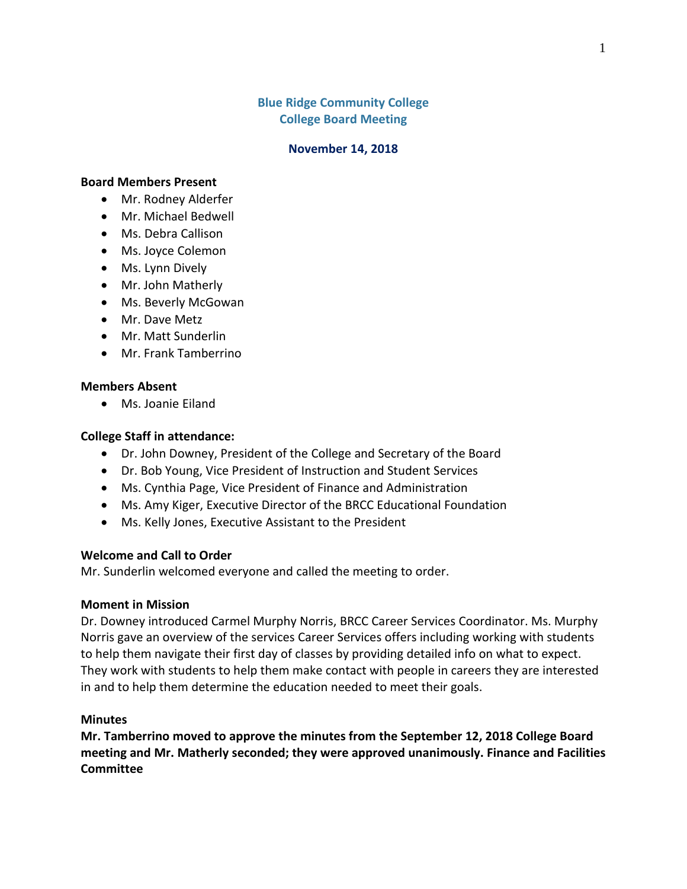## **Blue Ridge Community College College Board Meeting**

#### **November 14, 2018**

### **Board Members Present**

- Mr. Rodney Alderfer
- Mr. Michael Bedwell
- Ms. Debra Callison
- Ms. Joyce Colemon
- Ms. Lynn Dively
- Mr. John Matherly
- Ms. Beverly McGowan
- Mr. Dave Metz
- Mr. Matt Sunderlin
- Mr. Frank Tamberrino

### **Members Absent**

Ms. Joanie Eiland

### **College Staff in attendance:**

- Dr. John Downey, President of the College and Secretary of the Board
- Dr. Bob Young, Vice President of Instruction and Student Services
- Ms. Cynthia Page, Vice President of Finance and Administration
- Ms. Amy Kiger, Executive Director of the BRCC Educational Foundation
- Ms. Kelly Jones, Executive Assistant to the President

### **Welcome and Call to Order**

Mr. Sunderlin welcomed everyone and called the meeting to order.

#### **Moment in Mission**

Dr. Downey introduced Carmel Murphy Norris, BRCC Career Services Coordinator. Ms. Murphy Norris gave an overview of the services Career Services offers including working with students to help them navigate their first day of classes by providing detailed info on what to expect. They work with students to help them make contact with people in careers they are interested in and to help them determine the education needed to meet their goals.

### **Minutes**

**Mr. Tamberrino moved to approve the minutes from the September 12, 2018 College Board meeting and Mr. Matherly seconded; they were approved unanimously. Finance and Facilities Committee**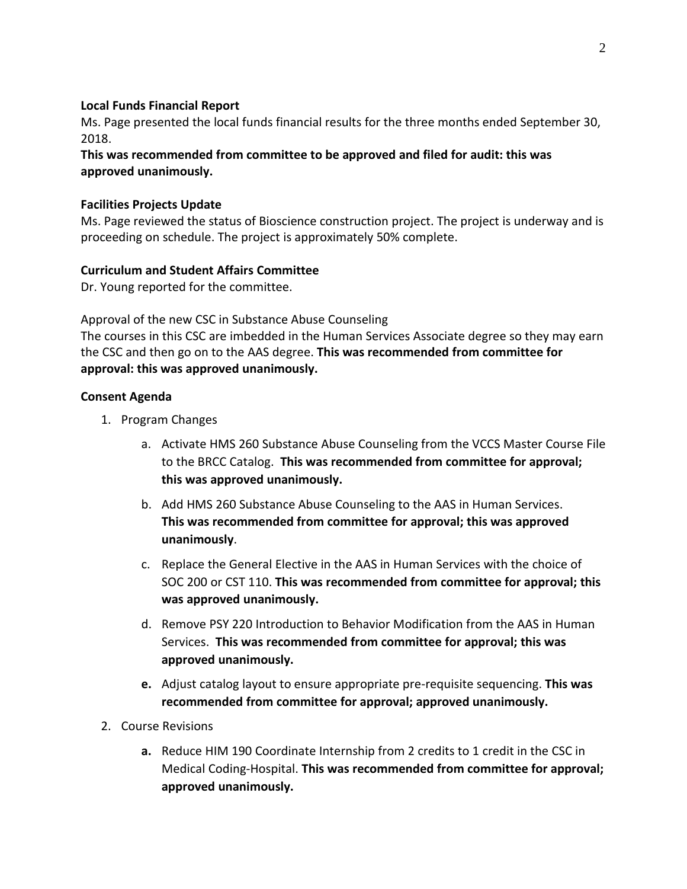## **Local Funds Financial Report**

Ms. Page presented the local funds financial results for the three months ended September 30, 2018.

**This was recommended from committee to be approved and filed for audit: this was approved unanimously.**

### **Facilities Projects Update**

Ms. Page reviewed the status of Bioscience construction project. The project is underway and is proceeding on schedule. The project is approximately 50% complete.

## **Curriculum and Student Affairs Committee**

Dr. Young reported for the committee.

Approval of the new CSC in Substance Abuse Counseling

The courses in this CSC are imbedded in the Human Services Associate degree so they may earn the CSC and then go on to the AAS degree. **This was recommended from committee for approval: this was approved unanimously.**

### **Consent Agenda**

- 1. Program Changes
	- a. Activate HMS 260 Substance Abuse Counseling from the VCCS Master Course File to the BRCC Catalog. **This was recommended from committee for approval; this was approved unanimously.**
	- b. Add HMS 260 Substance Abuse Counseling to the AAS in Human Services. **This was recommended from committee for approval; this was approved unanimously**.
	- c. Replace the General Elective in the AAS in Human Services with the choice of SOC 200 or CST 110. **This was recommended from committee for approval; this was approved unanimously.**
	- d. Remove PSY 220 Introduction to Behavior Modification from the AAS in Human Services. **This was recommended from committee for approval; this was approved unanimously.**
	- **e.** Adjust catalog layout to ensure appropriate pre-requisite sequencing. **This was recommended from committee for approval; approved unanimously.**
- 2. Course Revisions
	- **a.** Reduce HIM 190 Coordinate Internship from 2 credits to 1 credit in the CSC in Medical Coding-Hospital. **This was recommended from committee for approval; approved unanimously.**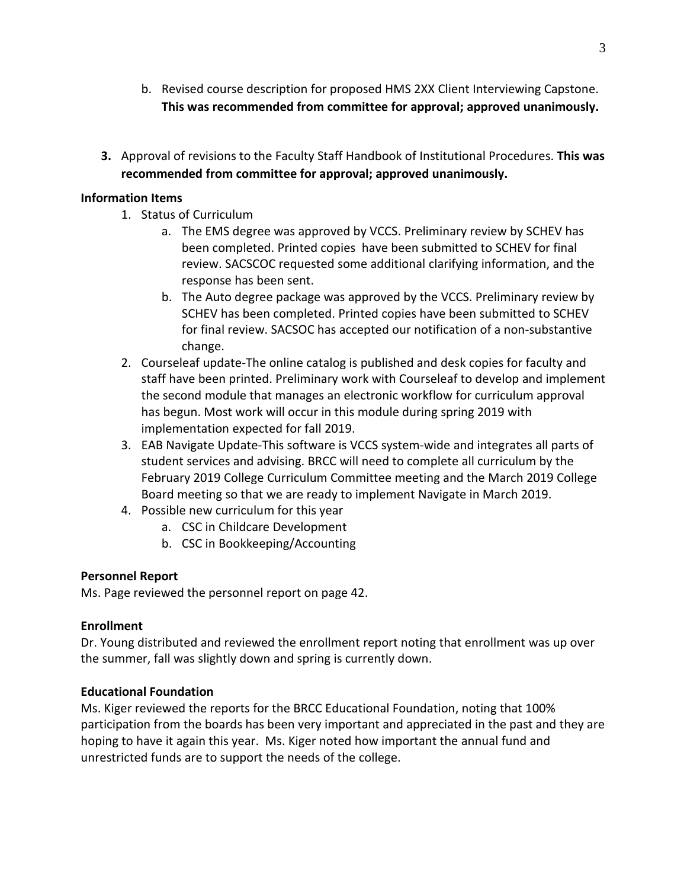- b. Revised course description for proposed HMS 2XX Client Interviewing Capstone. **This was recommended from committee for approval; approved unanimously.**
- **3.** Approval of revisions to the Faculty Staff Handbook of Institutional Procedures. **This was recommended from committee for approval; approved unanimously.**

## **Information Items**

- 1. Status of Curriculum
	- a. The EMS degree was approved by VCCS. Preliminary review by SCHEV has been completed. Printed copies have been submitted to SCHEV for final review. SACSCOC requested some additional clarifying information, and the response has been sent.
	- b. The Auto degree package was approved by the VCCS. Preliminary review by SCHEV has been completed. Printed copies have been submitted to SCHEV for final review. SACSOC has accepted our notification of a non-substantive change.
- 2. Courseleaf update-The online catalog is published and desk copies for faculty and staff have been printed. Preliminary work with Courseleaf to develop and implement the second module that manages an electronic workflow for curriculum approval has begun. Most work will occur in this module during spring 2019 with implementation expected for fall 2019.
- 3. EAB Navigate Update-This software is VCCS system-wide and integrates all parts of student services and advising. BRCC will need to complete all curriculum by the February 2019 College Curriculum Committee meeting and the March 2019 College Board meeting so that we are ready to implement Navigate in March 2019.
- 4. Possible new curriculum for this year
	- a. CSC in Childcare Development
	- b. CSC in Bookkeeping/Accounting

# **Personnel Report**

Ms. Page reviewed the personnel report on page 42.

# **Enrollment**

Dr. Young distributed and reviewed the enrollment report noting that enrollment was up over the summer, fall was slightly down and spring is currently down.

# **Educational Foundation**

Ms. Kiger reviewed the reports for the BRCC Educational Foundation, noting that 100% participation from the boards has been very important and appreciated in the past and they are hoping to have it again this year. Ms. Kiger noted how important the annual fund and unrestricted funds are to support the needs of the college.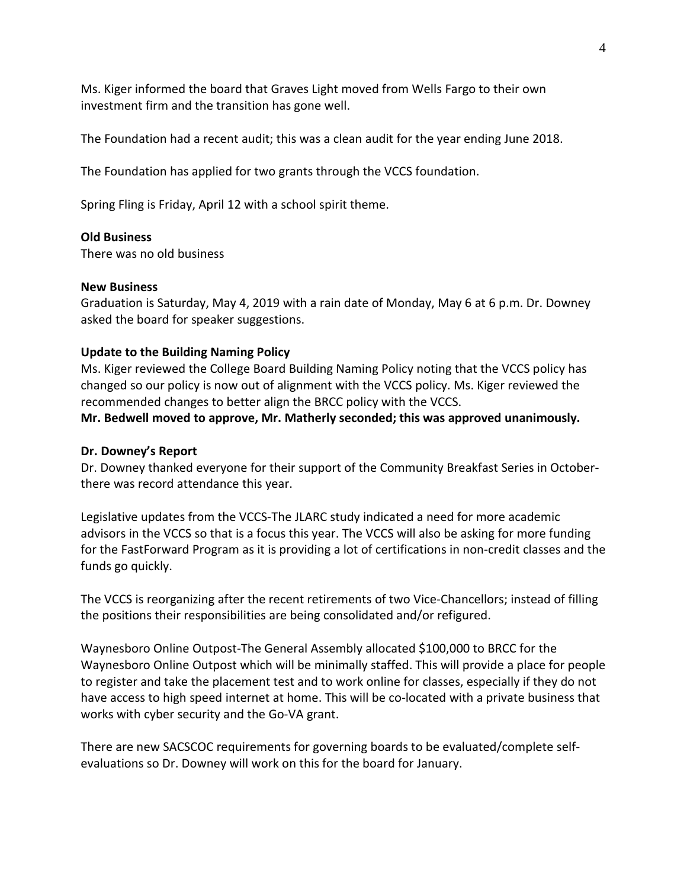Ms. Kiger informed the board that Graves Light moved from Wells Fargo to their own investment firm and the transition has gone well.

The Foundation had a recent audit; this was a clean audit for the year ending June 2018.

The Foundation has applied for two grants through the VCCS foundation.

Spring Fling is Friday, April 12 with a school spirit theme.

#### **Old Business**

There was no old business

#### **New Business**

Graduation is Saturday, May 4, 2019 with a rain date of Monday, May 6 at 6 p.m. Dr. Downey asked the board for speaker suggestions.

#### **Update to the Building Naming Policy**

Ms. Kiger reviewed the College Board Building Naming Policy noting that the VCCS policy has changed so our policy is now out of alignment with the VCCS policy. Ms. Kiger reviewed the recommended changes to better align the BRCC policy with the VCCS.

**Mr. Bedwell moved to approve, Mr. Matherly seconded; this was approved unanimously.**

#### **Dr. Downey's Report**

Dr. Downey thanked everyone for their support of the Community Breakfast Series in Octoberthere was record attendance this year.

Legislative updates from the VCCS-The JLARC study indicated a need for more academic advisors in the VCCS so that is a focus this year. The VCCS will also be asking for more funding for the FastForward Program as it is providing a lot of certifications in non-credit classes and the funds go quickly.

The VCCS is reorganizing after the recent retirements of two Vice-Chancellors; instead of filling the positions their responsibilities are being consolidated and/or refigured.

Waynesboro Online Outpost-The General Assembly allocated \$100,000 to BRCC for the Waynesboro Online Outpost which will be minimally staffed. This will provide a place for people to register and take the placement test and to work online for classes, especially if they do not have access to high speed internet at home. This will be co-located with a private business that works with cyber security and the Go-VA grant.

There are new SACSCOC requirements for governing boards to be evaluated/complete selfevaluations so Dr. Downey will work on this for the board for January.